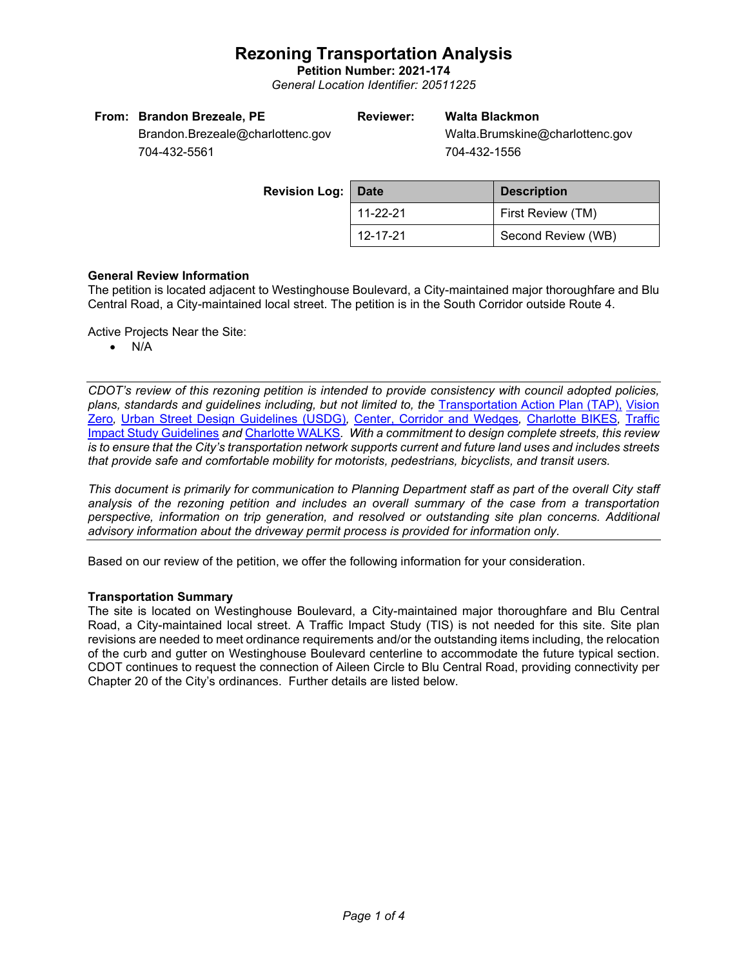**Petition Number: 2021-174** *General Location Identifier: 20511225*

| From: Brandon Brezeale, PE       | Reviewer: | Walta Blackmon                  |
|----------------------------------|-----------|---------------------------------|
| Brandon.Brezeale@charlottenc.gov |           | Walta.Brumskine@charlottenc.gov |
| __________                       |           | ___________                     |

704-432-5561

704-432-1556

| <b>Revision Log:   Date</b> |                | <b>Description</b> |  |
|-----------------------------|----------------|--------------------|--|
|                             | $11 - 22 - 21$ | First Review (TM)  |  |
|                             | 12-17-21       | Second Review (WB) |  |

### **General Review Information**

The petition is located adjacent to Westinghouse Boulevard, a City-maintained major thoroughfare and Blu Central Road, a City-maintained local street. The petition is in the South Corridor outside Route 4.

Active Projects Near the Site:

• N/A

*CDOT's review of this rezoning petition is intended to provide consistency with council adopted policies, plans, standards and guidelines including, but not limited to, the* [Transportation Action Plan \(TAP\),](https://charlottenc.gov/Transportation/Programs/Pages/TransportationActionPlan.aspx) [Vision](https://charlottenc.gov/VisionZero/Pages/VisionZero.aspx)  [Zero](https://charlottenc.gov/VisionZero/Pages/VisionZero.aspx)*,* [Urban Street Design Guidelines \(USDG\)](https://charlottenc.gov/Transportation/PlansProjects/Documents/USDG%20Full%20Document.pdf)*,* [Center, Corridor and](http://ww.charmeck.org/Planning/Land%20Use%20Planning/CentersCorridorsWedges/CentersCorridorsWedges(Adopted).pdf) Wedges*,* [Charlotte BIKES](https://charlottenc.gov/Transportation/Programs/Pages/Bicycle.aspx)*,* [Traffic](https://charlottenc.gov/Transportation/Permits/Documents/TISProcessandGuildlines.pdf)  [Impact Study Guidelines](https://charlottenc.gov/Transportation/Permits/Documents/TISProcessandGuildlines.pdf) *and* [Charlotte WALKS](https://charlottenc.gov/Transportation/Programs/Pages/CharlotteWalks.aspx)*. With a commitment to design complete streets, this review is to ensure that the City's transportation network supports current and future land uses and includes streets that provide safe and comfortable mobility for motorists, pedestrians, bicyclists, and transit users.*

*This document is primarily for communication to Planning Department staff as part of the overall City staff analysis of the rezoning petition and includes an overall summary of the case from a transportation perspective, information on trip generation, and resolved or outstanding site plan concerns. Additional advisory information about the driveway permit process is provided for information only.*

Based on our review of the petition, we offer the following information for your consideration.

### **Transportation Summary**

The site is located on Westinghouse Boulevard, a City-maintained major thoroughfare and Blu Central Road, a City-maintained local street. A Traffic Impact Study (TIS) is not needed for this site. Site plan revisions are needed to meet ordinance requirements and/or the outstanding items including, the relocation of the curb and gutter on Westinghouse Boulevard centerline to accommodate the future typical section. CDOT continues to request the connection of Aileen Circle to Blu Central Road, providing connectivity per Chapter 20 of the City's ordinances. Further details are listed below.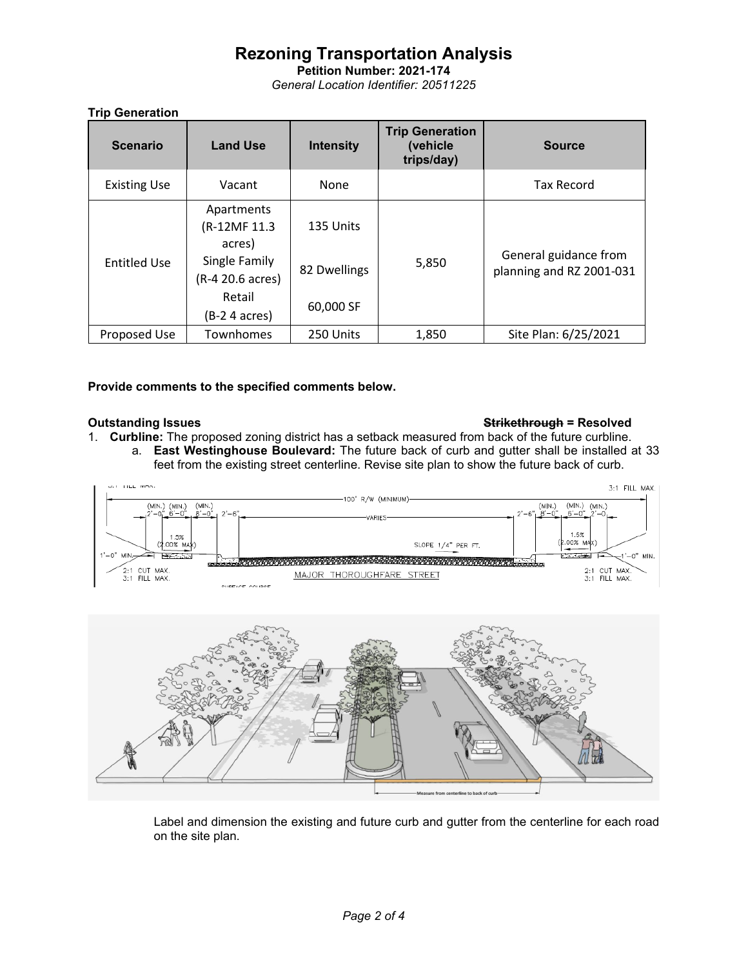**Petition Number: 2021-174** *General Location Identifier: 20511225*

## **Trip Generation**

| <b>Scenario</b>     | <b>Land Use</b>                      | <b>Intensity</b> | <b>Trip Generation</b><br>(vehicle<br>trips/day) | <b>Source</b>                                     |
|---------------------|--------------------------------------|------------------|--------------------------------------------------|---------------------------------------------------|
| <b>Existing Use</b> | Vacant                               | None             |                                                  | <b>Tax Record</b>                                 |
|                     | Apartments<br>(R-12MF 11.3<br>acres) | 135 Units        | 5,850                                            | General guidance from<br>planning and RZ 2001-031 |
| <b>Entitled Use</b> | Single Family<br>(R-4 20.6 acres)    | 82 Dwellings     |                                                  |                                                   |
|                     | Retail<br>(B-2 4 acres)              | 60,000 SF        |                                                  |                                                   |
| Proposed Use        | Townhomes                            | 250 Units        | 1,850                                            | Site Plan: 6/25/2021                              |

### **Provide comments to the specified comments below.**

## **Outstanding Issues Strikethrough = Resolved**

1. **Curbline:** The proposed zoning district has a setback measured from back of the future curbline. a. **East Westinghouse Boulevard:** The future back of curb and gutter shall be installed at 33 feet from the existing street centerline. Revise site plan to show the future back of curb.





Label and dimension the existing and future curb and gutter from the centerline for each road on the site plan.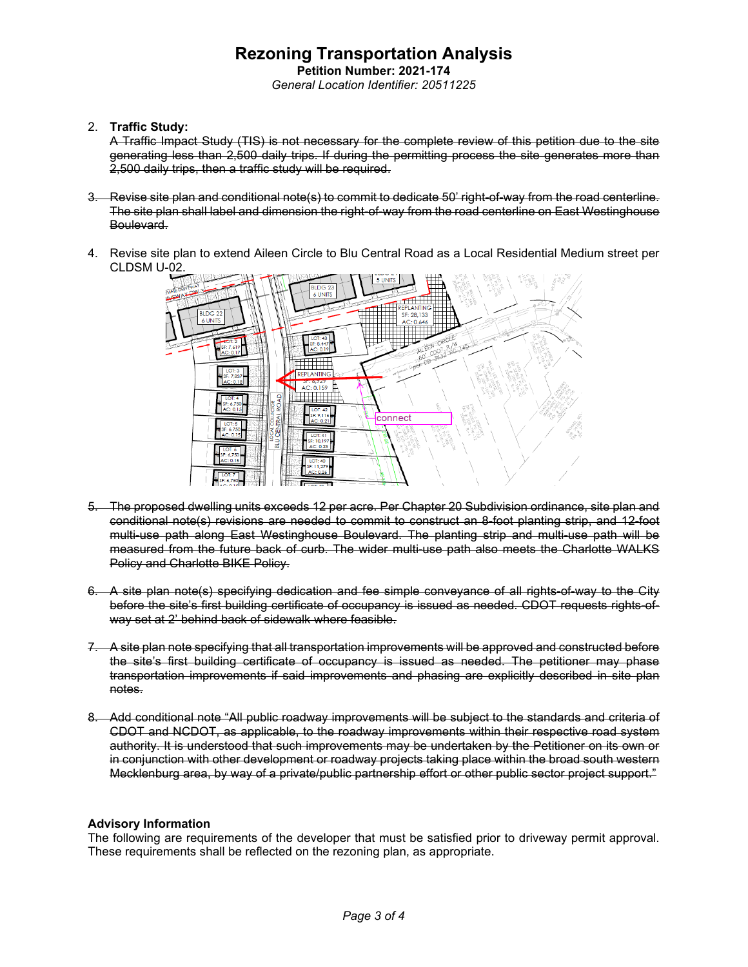**Petition Number: 2021-174** *General Location Identifier: 20511225*

### 2. **Traffic Study:**

A Traffic Impact Study (TIS) is not necessary for the complete review of this petition due to the site generating less than 2,500 daily trips. If during the permitting process the site generates more than 2,500 daily trips, then a traffic study will be required.

- 3. Revise site plan and conditional note(s) to commit to dedicate 50' right-of-way from the road centerline. The site plan shall label and dimension the right-of-way from the road centerline on East Westinghouse Boulevard.
- 4. Revise site plan to extend Aileen Circle to Blu Central Road as a Local Residential Medium street per CLDSM U-02.



- 5. The proposed dwelling units exceeds 12 per acre. Per Chapter 20 Subdivision ordinance, site plan and conditional note(s) revisions are needed to commit to construct an 8-foot planting strip, and 12-foot multi-use path along East Westinghouse Boulevard. The planting strip and multi-use path will be measured from the future back of curb. The wider multi-use path also meets the Charlotte WALKS Policy and Charlotte BIKE Policy.
- 6. A site plan note(s) specifying dedication and fee simple conveyance of all rights-of-way to the City before the site's first building certificate of occupancy is issued as needed. CDOT requests rights-ofway set at 2' behind back of sidewalk where feasible.
- 7. A site plan note specifying that all transportation improvements will be approved and constructed before the site's first building certificate of occupancy is issued as needed. The petitioner may phase transportation improvements if said improvements and phasing are explicitly described in site plan notes.
- 8. Add conditional note "All public roadway improvements will be subject to the standards and criteria of CDOT and NCDOT, as applicable, to the roadway improvements within their respective road system authority. It is understood that such improvements may be undertaken by the Petitioner on its own or in conjunction with other development or roadway projects taking place within the broad south western Mecklenburg area, by way of a private/public partnership effort or other public sector project support."

### **Advisory Information**

The following are requirements of the developer that must be satisfied prior to driveway permit approval. These requirements shall be reflected on the rezoning plan, as appropriate.